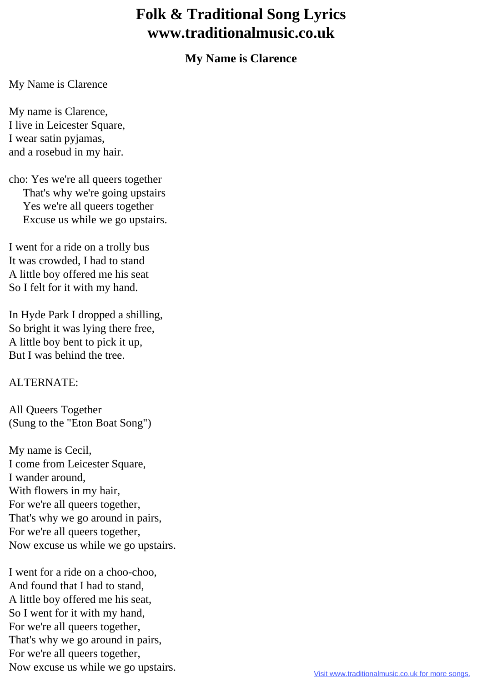## **Folk & Traditional Song Lyrics www.traditionalmusic.co.uk**

## **My Name is Clarence**

My Name is Clarence

My name is Clarence, I live in Leicester Square, I wear satin pyjamas, and a rosebud in my hair.

cho: Yes we're all queers together That's why we're going upstairs Yes we're all queers together Excuse us while we go upstairs.

I went for a ride on a trolly bus It was crowded, I had to stand A little boy offered me his seat So I felt for it with my hand.

In Hyde Park I dropped a shilling, So bright it was lying there free, A little boy bent to pick it up, But I was behind the tree.

## ALTERNATE:

All Queers Together (Sung to the "Eton Boat Song")

My name is Cecil, I come from Leicester Square, I wander around, With flowers in my hair, For we're all queers together, That's why we go around in pairs, For we're all queers together, Now excuse us while we go upstairs.

I went for a ride on a choo-choo, And found that I had to stand, A little boy offered me his seat, So I went for it with my hand, For we're all queers together, That's why we go around in pairs, For we're all queers together, Now excuse us while we go upstairs.